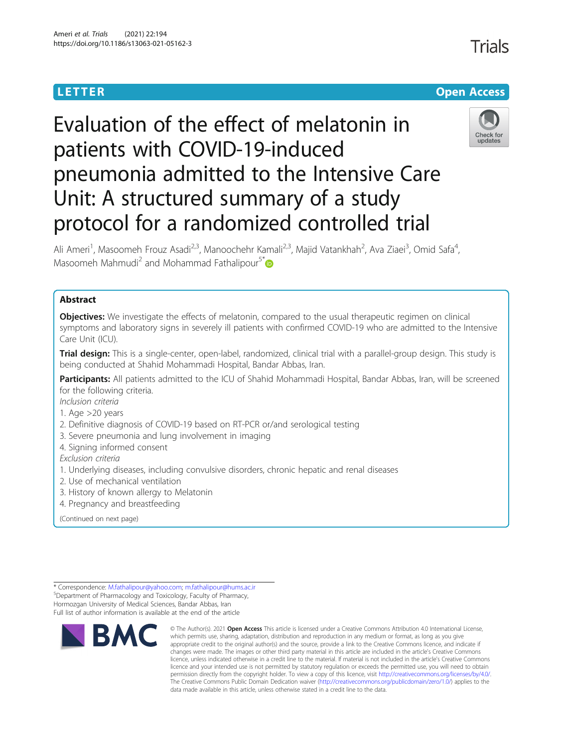## **LETTER CONSTRUCTION CONSTRUCTION**

# Evaluation of the effect of melatonin in patients with COVID-19-induced pneumonia admitted to the Intensive Care Unit: A structured summary of a study protocol for a randomized controlled trial



Ali Ameri<sup>1</sup>, Masoomeh Frouz Asadi<sup>2,3</sup>, Manoochehr Kamali<sup>2,3</sup>, Majid Vatankhah<sup>2</sup>, Ava Ziaei<sup>3</sup>, Omid Safa<sup>4</sup> , Masoomeh Mahmudi<sup>2</sup> and Mohammad Fathalipour<sup>5[\\*](http://orcid.org/0000-0002-4568-7024)</sup>

### Abstract

**Objectives:** We investigate the effects of melatonin, compared to the usual therapeutic regimen on clinical symptoms and laboratory signs in severely ill patients with confirmed COVID-19 who are admitted to the Intensive Care Unit (ICU).

Trial design: This is a single-center, open-label, randomized, clinical trial with a parallel-group design. This study is being conducted at Shahid Mohammadi Hospital, Bandar Abbas, Iran.

Participants: All patients admitted to the ICU of Shahid Mohammadi Hospital, Bandar Abbas, Iran, will be screened for the following criteria.

Inclusion criteria

1. Age >20 years

- 2. Definitive diagnosis of COVID-19 based on RT-PCR or/and serological testing
- 3. Severe pneumonia and lung involvement in imaging
- 4. Signing informed consent

- Exclusion criteria 1. Underlying diseases, including convulsive disorders, chronic hepatic and renal diseases
- 2. Use of mechanical ventilation
- 3. History of known allergy to Melatonin
- 4. Pregnancy and breastfeeding

(Continued on next page)

Full list of author information is available at the end of the article



<sup>©</sup> The Author(s), 2021 **Open Access** This article is licensed under a Creative Commons Attribution 4.0 International License, which permits use, sharing, adaptation, distribution and reproduction in any medium or format, as long as you give appropriate credit to the original author(s) and the source, provide a link to the Creative Commons licence, and indicate if changes were made. The images or other third party material in this article are included in the article's Creative Commons licence, unless indicated otherwise in a credit line to the material. If material is not included in the article's Creative Commons licence and your intended use is not permitted by statutory regulation or exceeds the permitted use, you will need to obtain permission directly from the copyright holder. To view a copy of this licence, visit [http://creativecommons.org/licenses/by/4.0/.](http://creativecommons.org/licenses/by/4.0/) The Creative Commons Public Domain Dedication waiver [\(http://creativecommons.org/publicdomain/zero/1.0/](http://creativecommons.org/publicdomain/zero/1.0/)) applies to the data made available in this article, unless otherwise stated in a credit line to the data.

<sup>\*</sup> Correspondence: [M.fathalipour@yahoo.com](mailto:M.fathalipour@yahoo.com); [m.fathalipour@hums.ac.ir](mailto:m.fathalipour@hums.ac.ir) <sup>5</sup> Department of Pharmacology and Toxicology, Faculty of Pharmacy, Hormozgan University of Medical Sciences, Bandar Abbas, Iran